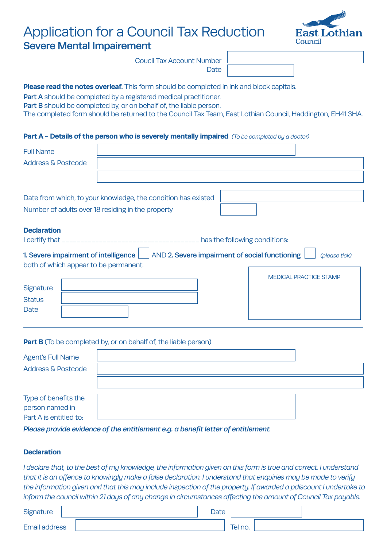# Application for a Council Tax Reduction Severe Mental Impairement



Coucil Tax Account Number **Date** 

## **Please read the notes overleaf.** This form should be completed in ink and block capitals.

Part A should be completed by a registered medical practitioner.

Part B should be completed by, or on behalf of, the liable person.

The completed form should be returned to the Council Tax Team, East Lothian Council, Haddington, EH41 3HA.

#### **Part A** - **Details of the person who is severely mentally impaired** *(To be completed by a doctor)*

| <b>Full Name</b><br><b>Address &amp; Postcode</b>                                                 |                                                                                                                                                                            |  |
|---------------------------------------------------------------------------------------------------|----------------------------------------------------------------------------------------------------------------------------------------------------------------------------|--|
|                                                                                                   | Date from which, to your knowledge, the condition has existed<br>Number of adults over 18 residing in the property                                                         |  |
| <b>Declaration</b><br>both of which appear to be permanent.<br>Signature<br><b>Status</b><br>Date | . has the following conditions:<br>1. Severe impairment of intelligence   AND 2. Severe impairment of social functioning<br>(please tick)<br><b>MEDICAL PRACTICE STAMP</b> |  |
| <b>Agent's Full Name</b><br><b>Address &amp; Postcode</b>                                         | <b>Part B</b> (To be completed by, or on behalf of, the liable person)                                                                                                     |  |

Type of benefits the person named in Part A is entitled to:

*Please provide evidence of the entitlement e.g. a benefit letter of entitlement.*

### **Declaration**

*I declare that, to the best of my knowledge, the information given on this form is true and correct. I understand that it is an offence to knowingly make a false declaration. I understand that enquiries may be made to verify the information given anrl that this may include inspection of the property. If awarded a pdiscount I undertake to inform the council within 21 days of any change in circumstances affecting the amount of Council Tax payable.* 

| Signature            | Date |         |
|----------------------|------|---------|
| <b>Email address</b> |      | Tel no. |